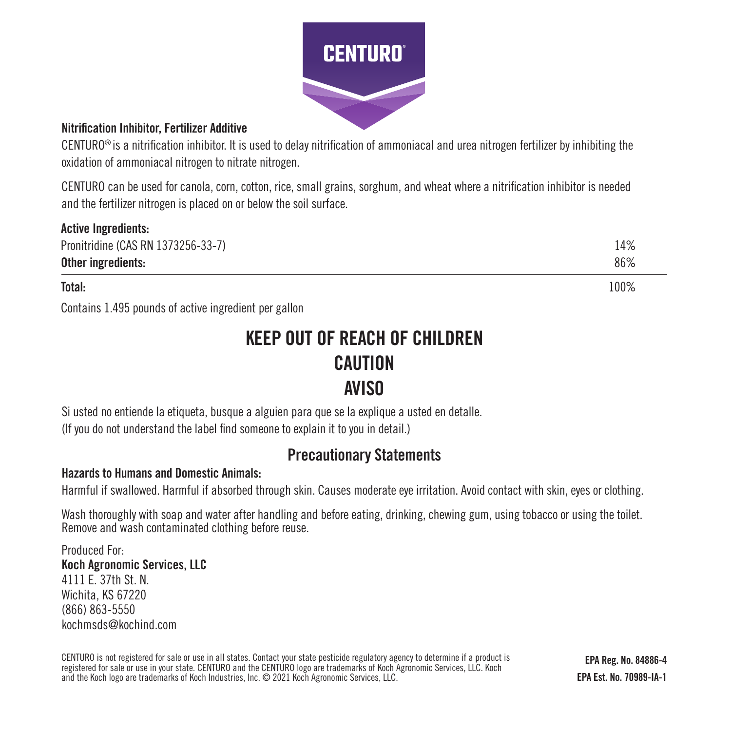

### Nitrification Inhibitor, Fertilizer Additive

CENTURO® is a nitrification inhibitor. It is used to delay nitrification of ammoniacal and urea nitrogen fertilizer by inhibiting the oxidation of ammoniacal nitrogen to nitrate nitrogen.

CENTURO can be used for canola, corn, cotton, rice, small grains, sorghum, and wheat where a nitrification inhibitor is needed and the fertilizer nitrogen is placed on or below the soil surface.

| <b>Active Ingredients:</b>         |      |
|------------------------------------|------|
| Pronitridine (CAS RN 1373256-33-7) | 14%  |
| Other ingredients:                 | 86%  |
| Total:                             | 100% |

Contains 1.495 pounds of active ingredient per gallon

# KEEP OUT OF REACH OF CHILDREN **CAUTION** AVISO

Si usted no entiende la etiqueta, busque a alguien para que se la explique a usted en detalle. (If you do not understand the label find someone to explain it to you in detail.)

# Precautionary Statements

## Hazards to Humans and Domestic Animals:

Harmful if swallowed. Harmful if absorbed through skin. Causes moderate eye irritation. Avoid contact with skin, eyes or clothing.

Wash thoroughly with soap and water after handling and before eating, drinking, chewing gum, using tobacco or using the toilet. Remove and wash contaminated clothing before reuse.

Produced For: Koch Agronomic Services, LLC 4111 E. 37th St. N. Wichita, KS 67220 (866) 863-5550 kochmsds@kochind.com

CENTURO is not registered for sale or use in all states. Contact your state pesticide regulatory agency to determine if a product is registered for sale or use in your state. CENTURO and the CENTURO logo are trademarks of Koch Agronomic Services, LLC. Koch and the Koch logo are trademarks of Koch Industries, Inc. © 2021 Koch Agronomic Services, LLC.

EPA Reg. No. 84886-4 EPA Est. No. 70989-IA-1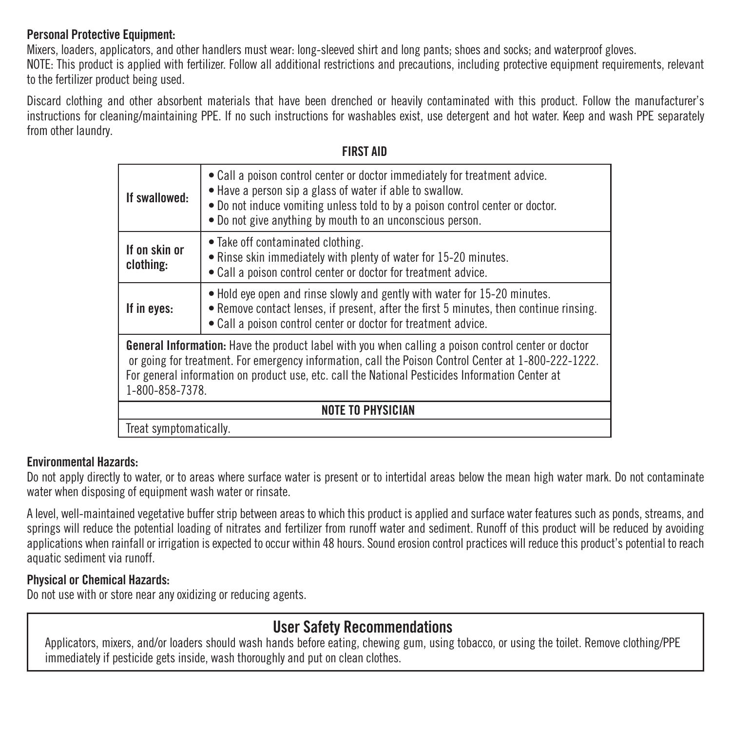## Personal Protective Equipment:

Mixers, loaders, applicators, and other handlers must wear: long-sleeved shirt and long pants; shoes and socks; and waterproof gloves. NOTE: This product is applied with fertilizer. Follow all additional restrictions and precautions, including protective equipment requirements, relevant to the fertilizer product being used.

Discard clothing and other absorbent materials that have been drenched or heavily contaminated with this product. Follow the manufacturer's instructions for cleaning/maintaining PPE. If no such instructions for washables exist, use detergent and hot water. Keep and wash PPE separately from other laundry.

| If swallowed:                                                                                                                                                                                                                                                                                                                            | • Call a poison control center or doctor immediately for treatment advice.<br>• Have a person sip a glass of water if able to swallow.<br>• Do not induce vomiting unless told to by a poison control center or doctor.<br>• Do not give anything by mouth to an unconscious person. |  |
|------------------------------------------------------------------------------------------------------------------------------------------------------------------------------------------------------------------------------------------------------------------------------------------------------------------------------------------|--------------------------------------------------------------------------------------------------------------------------------------------------------------------------------------------------------------------------------------------------------------------------------------|--|
| If on skin or<br>clothing:                                                                                                                                                                                                                                                                                                               | • Take off contaminated clothing.<br>. Rinse skin immediately with plenty of water for 15-20 minutes.<br>• Call a poison control center or doctor for treatment advice.                                                                                                              |  |
| If in eyes:                                                                                                                                                                                                                                                                                                                              | • Hold eye open and rinse slowly and gently with water for 15-20 minutes.<br>• Remove contact lenses, if present, after the first 5 minutes, then continue rinsing.<br>• Call a poison control center or doctor for treatment advice.                                                |  |
| <b>General Information:</b> Have the product label with you when calling a poison control center or doctor<br>or going for treatment. For emergency information, call the Poison Control Center at 1-800-222-1222.<br>For general information on product use, etc. call the National Pesticides Information Center at<br>1-800-858-7378. |                                                                                                                                                                                                                                                                                      |  |
| <b>NOTE TO PHYSICIAN</b>                                                                                                                                                                                                                                                                                                                 |                                                                                                                                                                                                                                                                                      |  |
| Treat symptomatically.                                                                                                                                                                                                                                                                                                                   |                                                                                                                                                                                                                                                                                      |  |

### FIRST AID

### Environmental Hazards:

Do not apply directly to water, or to areas where surface water is present or to intertidal areas below the mean high water mark. Do not contaminate water when disposing of equipment wash water or rinsate.

A level, well-maintained vegetative buffer strip between areas to which this product is applied and surface water features such as ponds, streams, and springs will reduce the potential loading of nitrates and fertilizer from runoff water and sediment. Runoff of this product will be reduced by avoiding applications when rainfall or irrigation is expected to occur within 48 hours. Sound erosion control practices will reduce this product's potential to reach aquatic sediment via runoff.

### Physical or Chemical Hazards:

Do not use with or store near any oxidizing or reducing agents.

# User Safety Recommendations

Applicators, mixers, and/or loaders should wash hands before eating, chewing gum, using tobacco, or using the toilet. Remove clothing/PPE immediately if pesticide gets inside, wash thoroughly and put on clean clothes.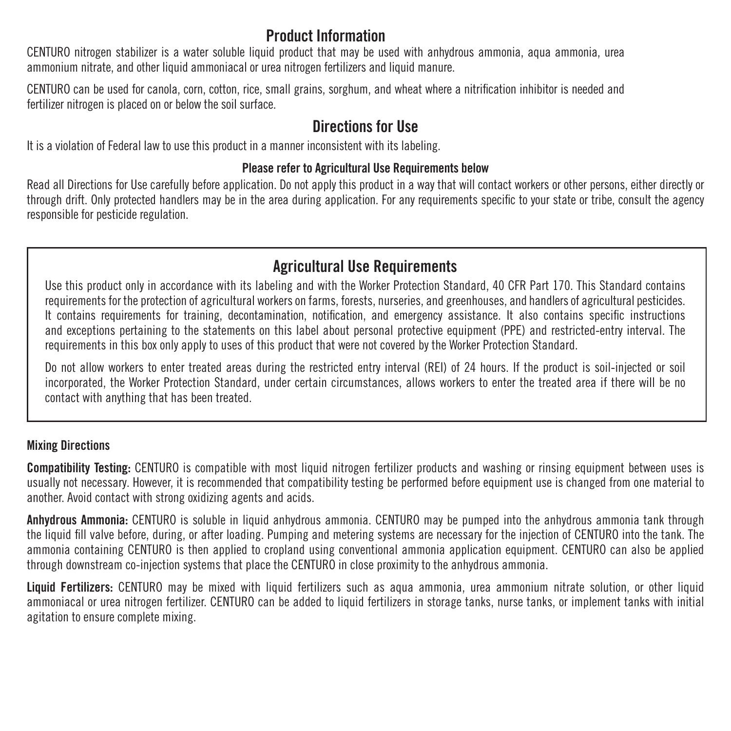# Product Information

CENTURO nitrogen stabilizer is a water soluble liquid product that may be used with anhydrous ammonia, aqua ammonia, urea ammonium nitrate, and other liquid ammoniacal or urea nitrogen fertilizers and liquid manure.

CENTURO can be used for canola, corn, cotton, rice, small grains, sorghum, and wheat where a nitrification inhibitor is needed and fertilizer nitrogen is placed on or below the soil surface.

# Directions for Use

It is a violation of Federal law to use this product in a manner inconsistent with its labeling.

## Please refer to Agricultural Use Requirements below

Read all Directions for Use carefully before application. Do not apply this product in a way that will contact workers or other persons, either directly or through drift. Only protected handlers may be in the area during application. For any requirements specific to your state or tribe, consult the agency responsible for pesticide regulation.

# Agricultural Use Requirements

Use this product only in accordance with its labeling and with the Worker Protection Standard, 40 CFR Part 170. This Standard contains requirements for the protection of agricultural workers on farms, forests, nurseries, and greenhouses, and handlers of agricultural pesticides. It contains requirements for training, decontamination, notification, and emergency assistance. It also contains specific instructions and exceptions pertaining to the statements on this label about personal protective equipment (PPE) and restricted-entry interval. The requirements in this box only apply to uses of this product that were not covered by the Worker Protection Standard.

Do not allow workers to enter treated areas during the restricted entry interval (REI) of 24 hours. If the product is soil-injected or soil incorporated, the Worker Protection Standard, under certain circumstances, allows workers to enter the treated area if there will be no contact with anything that has been treated.

## Mixing Directions

Compatibility Testing: CENTURO is compatible with most liquid nitrogen fertilizer products and washing or rinsing equipment between uses is usually not necessary. However, it is recommended that compatibility testing be performed before equipment use is changed from one material to another. Avoid contact with strong oxidizing agents and acids.

Anhydrous Ammonia: CENTURO is soluble in liquid anhydrous ammonia. CENTURO may be pumped into the anhydrous ammonia tank through the liquid fill valve before, during, or after loading. Pumping and metering systems are necessary for the injection of CENTURO into the tank. The ammonia containing CENTURO is then applied to cropland using conventional ammonia application equipment. CENTURO can also be applied through downstream co-injection systems that place the CENTURO in close proximity to the anhydrous ammonia.

Liquid Fertilizers: CENTURO may be mixed with liquid fertilizers such as aqua ammonia, urea ammonium nitrate solution, or other liquid ammoniacal or urea nitrogen fertilizer. CENTURO can be added to liquid fertilizers in storage tanks, nurse tanks, or implement tanks with initial agitation to ensure complete mixing.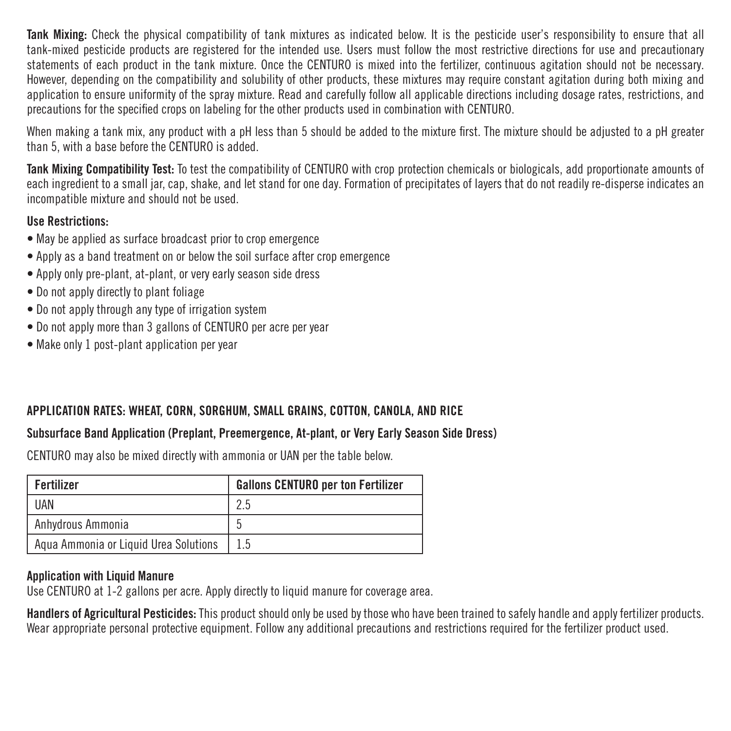Tank Mixing: Check the physical compatibility of tank mixtures as indicated below. It is the pesticide user's responsibility to ensure that all tank-mixed pesticide products are registered for the intended use. Users must follow the most restrictive directions for use and precautionary statements of each product in the tank mixture. Once the CENTURO is mixed into the fertilizer, continuous agitation should not be necessary. However, depending on the compatibility and solubility of other products, these mixtures may require constant agitation during both mixing and application to ensure uniformity of the spray mixture. Read and carefully follow all applicable directions including dosage rates, restrictions, and precautions for the specified crops on labeling for the other products used in combination with CENTURO.

When making a tank mix, any product with a pH less than 5 should be added to the mixture first. The mixture should be adjusted to a pH greater than 5, with a base before the CENTURO is added.

Tank Mixing Compatibility Test: To test the compatibility of CENTURO with crop protection chemicals or biologicals, add proportionate amounts of each ingredient to a small jar, cap, shake, and let stand for one day. Formation of precipitates of layers that do not readily re-disperse indicates an incompatible mixture and should not be used.

# Use Restrictions:

- May be applied as surface broadcast prior to crop emergence
- Apply as a band treatment on or below the soil surface after crop emergence
- Apply only pre-plant, at-plant, or very early season side dress
- Do not apply directly to plant foliage
- Do not apply through any type of irrigation system
- Do not apply more than 3 gallons of CENTURO per acre per year
- Make only 1 post-plant application per year

## APPLICATION RATES: WHEAT, CORN, SORGHUM, SMALL GRAINS, COTTON, CANOLA, AND RICE

## Subsurface Band Application (Preplant, Preemergence, At-plant, or Very Early Season Side Dress)

CENTURO may also be mixed directly with ammonia or UAN per the table below.

| Fertilizer                            | <b>Gallons CENTURO per ton Fertilizer</b> |
|---------------------------------------|-------------------------------------------|
| UAN                                   | 2.5                                       |
| Anhydrous Ammonia                     | C                                         |
| Agua Ammonia or Liguid Urea Solutions | 1.5                                       |

### Application with Liquid Manure

Use CENTURO at 1-2 gallons per acre. Apply directly to liquid manure for coverage area.

Handlers of Agricultural Pesticides: This product should only be used by those who have been trained to safely handle and apply fertilizer products. Wear appropriate personal protective equipment. Follow any additional precautions and restrictions required for the fertilizer product used.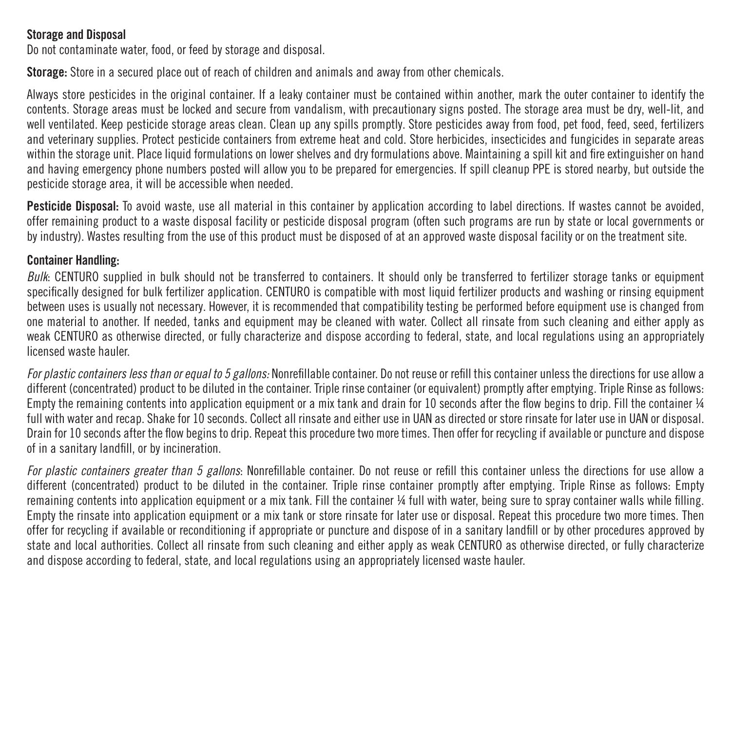### Storage and Disposal

Do not contaminate water, food, or feed by storage and disposal.

Storage: Store in a secured place out of reach of children and animals and away from other chemicals.

Always store pesticides in the original container. If a leaky container must be contained within another, mark the outer container to identify the contents. Storage areas must be locked and secure from vandalism, with precautionary signs posted. The storage area must be dry, well-lit, and well ventilated. Keep pesticide storage areas clean. Clean up any spills promptly. Store pesticides away from food, pet food, feed, seed, fertilizers and veterinary supplies. Protect pesticide containers from extreme heat and cold. Store herbicides, insecticides and fungicides in separate areas within the storage unit. Place liquid formulations on lower shelves and dry formulations above. Maintaining a spill kit and fire extinguisher on hand and having emergency phone numbers posted will allow you to be prepared for emergencies. If spill cleanup PPE is stored nearby, but outside the pesticide storage area, it will be accessible when needed.

Pesticide Disposal: To avoid waste, use all material in this container by application according to label directions. If wastes cannot be avoided, offer remaining product to a waste disposal facility or pesticide disposal program (often such programs are run by state or local governments or by industry). Wastes resulting from the use of this product must be disposed of at an approved waste disposal facility or on the treatment site.

#### Container Handling:

*Bulk*: CENTURO supplied in bulk should not be transferred to containers. It should only be transferred to fertilizer storage tanks or equipment specifically designed for bulk fertilizer application. CENTURO is compatible with most liquid fertilizer products and washing or rinsing equipment between uses is usually not necessary. However, it is recommended that compatibility testing be performed before equipment use is changed from one material to another. If needed, tanks and equipment may be cleaned with water. Collect all rinsate from such cleaning and either apply as weak CENTURO as otherwise directed, or fully characterize and dispose according to federal, state, and local regulations using an appropriately licensed waste hauler.

*For plastic containers less than or equal to 5 gallons:* Nonrefillable container. Do not reuse or refill this container unless the directions for use allow a different (concentrated) product to be diluted in the container. Triple rinse container (or equivalent) promptly after emptying. Triple Rinse as follows: Empty the remaining contents into application equipment or a mix tank and drain for 10 seconds after the flow begins to drip. Fill the container  $\frac{1}{4}$ full with water and recap. Shake for 10 seconds. Collect all rinsate and either use in UAN as directed or store rinsate for later use in UAN or disposal. Drain for 10 seconds after the flow begins to drip. Repeat this procedure two more times. Then offer for recycling if available or puncture and dispose of in a sanitary landfill, or by incineration.

*For plastic containers greater than 5 gallons*: Nonrefillable container. Do not reuse or refill this container unless the directions for use allow a different (concentrated) product to be diluted in the container. Triple rinse container promptly after emptying. Triple Rinse as follows: Empty remaining contents into application equipment or a mix tank. Fill the container ¼ full with water, being sure to spray container walls while filling. Empty the rinsate into application equipment or a mix tank or store rinsate for later use or disposal. Repeat this procedure two more times. Then offer for recycling if available or reconditioning if appropriate or puncture and dispose of in a sanitary landfill or by other procedures approved by state and local authorities. Collect all rinsate from such cleaning and either apply as weak CENTURO as otherwise directed, or fully characterize and dispose according to federal, state, and local regulations using an appropriately licensed waste hauler.